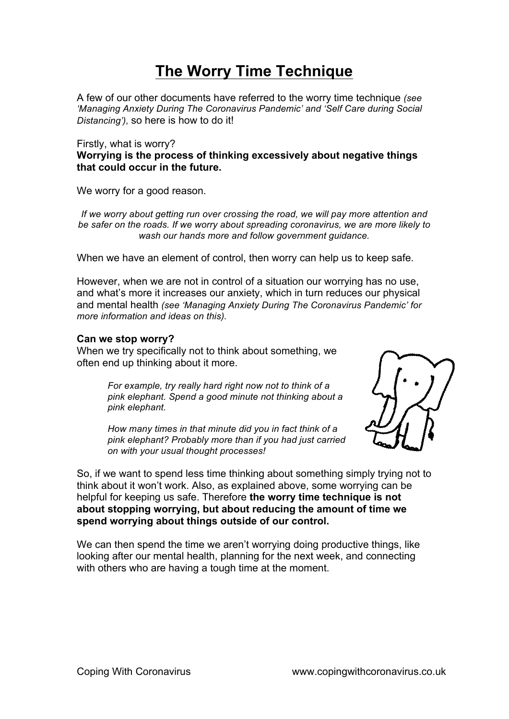# **The Worry Time Technique**

A few of our other documents have referred to the worry time technique *(see 'Managing Anxiety During The Coronavirus Pandemic' and 'Self Care during Social Distancing'),* so here is how to do it!

Firstly, what is worry?

**Worrying is the process of thinking excessively about negative things that could occur in the future.**

We worry for a good reason.

*If we worry about getting run over crossing the road, we will pay more attention and be safer on the roads. If we worry about spreading coronavirus, we are more likely to wash our hands more and follow government guidance.*

When we have an element of control, then worry can help us to keep safe.

However, when we are not in control of a situation our worrying has no use, and what's more it increases our anxiety, which in turn reduces our physical and mental health *(see 'Managing Anxiety During The Coronavirus Pandemic' for more information and ideas on this).*

#### **Can we stop worry?**

When we try specifically not to think about something, we often end up thinking about it more.

> *For example, try really hard right now not to think of a pink elephant. Spend a good minute not thinking about a pink elephant.*

> *How many times in that minute did you in fact think of a pink elephant? Probably more than if you had just carried on with your usual thought processes!*



So, if we want to spend less time thinking about something simply trying not to think about it won't work. Also, as explained above, some worrying can be helpful for keeping us safe. Therefore **the worry time technique is not about stopping worrying, but about reducing the amount of time we spend worrying about things outside of our control.** 

We can then spend the time we aren't worrying doing productive things, like looking after our mental health, planning for the next week, and connecting with others who are having a tough time at the moment.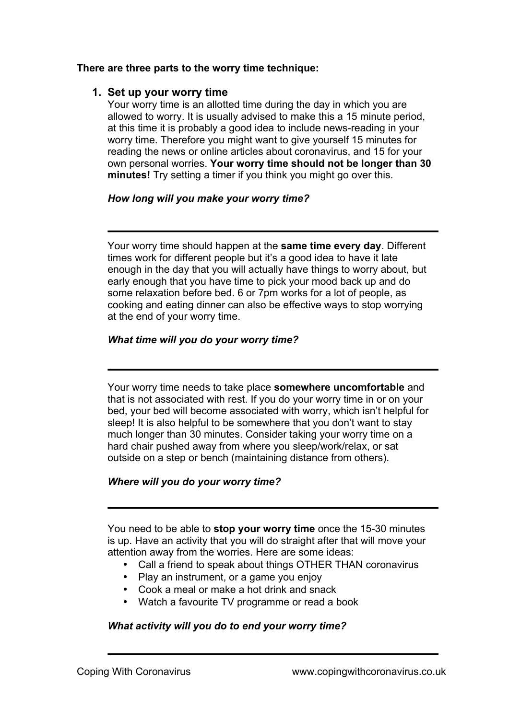#### **There are three parts to the worry time technique:**

#### **1. Set up your worry time**

Your worry time is an allotted time during the day in which you are allowed to worry. It is usually advised to make this a 15 minute period, at this time it is probably a good idea to include news-reading in your worry time. Therefore you might want to give yourself 15 minutes for reading the news or online articles about coronavirus, and 15 for your own personal worries. **Your worry time should not be longer than 30 minutes!** Try setting a timer if you think you might go over this.

#### *How long will you make your worry time?*

Your worry time should happen at the **same time every day**. Different times work for different people but it's a good idea to have it late enough in the day that you will actually have things to worry about, but early enough that you have time to pick your mood back up and do some relaxation before bed. 6 or 7pm works for a lot of people, as cooking and eating dinner can also be effective ways to stop worrying at the end of your worry time.

#### *What time will you do your worry time?*

Your worry time needs to take place **somewhere uncomfortable** and that is not associated with rest. If you do your worry time in or on your bed, your bed will become associated with worry, which isn't helpful for sleep! It is also helpful to be somewhere that you don't want to stay much longer than 30 minutes. Consider taking your worry time on a hard chair pushed away from where you sleep/work/relax, or sat outside on a step or bench (maintaining distance from others).

# *Where will you do your worry time?*

You need to be able to **stop your worry time** once the 15-30 minutes is up. Have an activity that you will do straight after that will move your attention away from the worries. Here are some ideas:

- Call a friend to speak about things OTHER THAN coronavirus
- Play an instrument, or a game you enjoy
- Cook a meal or make a hot drink and snack
- Watch a favourite TV programme or read a book

# *What activity will you do to end your worry time?*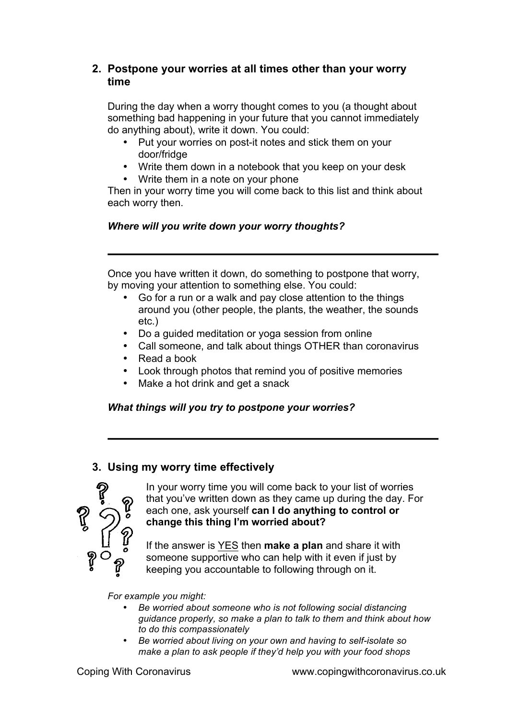# **2. Postpone your worries at all times other than your worry time**

During the day when a worry thought comes to you (a thought about something bad happening in your future that you cannot immediately do anything about), write it down. You could:

- Put your worries on post-it notes and stick them on your door/fridge
- Write them down in a notebook that you keep on your desk
- Write them in a note on your phone

Then in your worry time you will come back to this list and think about each worry then.

# *Where will you write down your worry thoughts?*

Once you have written it down, do something to postpone that worry, by moving your attention to something else. You could:

- Go for a run or a walk and pay close attention to the things around you (other people, the plants, the weather, the sounds etc.)
- Do a guided meditation or yoga session from online
- Call someone, and talk about things OTHER than coronavirus
- Read a book
- Look through photos that remind you of positive memories
- Make a hot drink and get a snack

# *What things will you try to postpone your worries?*

# **3. Using my worry time effectively**



In your worry time you will come back to your list of worries that you've written down as they came up during the day. For each one, ask yourself **can I do anything to control or change this thing I'm worried about?** 

If the answer is YES then **make a plan** and share it with someone supportive who can help with it even if just by keeping you accountable to following through on it.

*For example you might:*

- *Be worried about someone who is not following social distancing guidance properly, so make a plan to talk to them and think about how to do this compassionately*
- *Be worried about living on your own and having to self-isolate so make a plan to ask people if they'd help you with your food shops*